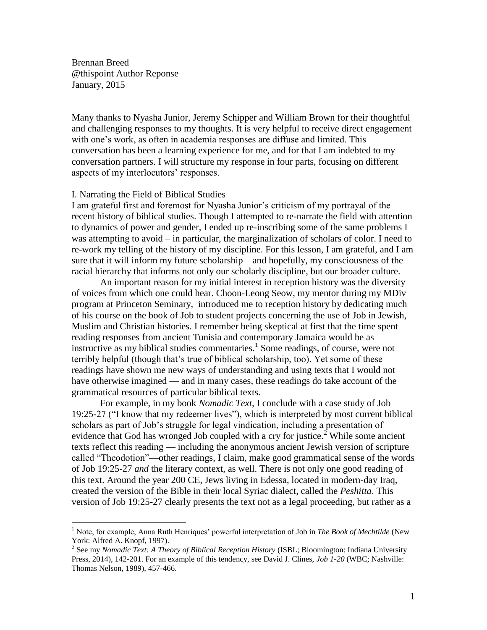Brennan Breed @thispoint Author Reponse January, 2015

Many thanks to Nyasha Junior, Jeremy Schipper and William Brown for their thoughtful and challenging responses to my thoughts. It is very helpful to receive direct engagement with one's work, as often in academia responses are diffuse and limited. This conversation has been a learning experience for me, and for that I am indebted to my conversation partners. I will structure my response in four parts, focusing on different aspects of my interlocutors' responses.

## I. Narrating the Field of Biblical Studies

 $\overline{a}$ 

I am grateful first and foremost for Nyasha Junior's criticism of my portrayal of the recent history of biblical studies. Though I attempted to re-narrate the field with attention to dynamics of power and gender, I ended up re-inscribing some of the same problems I was attempting to avoid – in particular, the marginalization of scholars of color. I need to re-work my telling of the history of my discipline. For this lesson, I am grateful, and I am sure that it will inform my future scholarship – and hopefully, my consciousness of the racial hierarchy that informs not only our scholarly discipline, but our broader culture.

An important reason for my initial interest in reception history was the diversity of voices from which one could hear. Choon-Leong Seow, my mentor during my MDiv program at Princeton Seminary, introduced me to reception history by dedicating much of his course on the book of Job to student projects concerning the use of Job in Jewish, Muslim and Christian histories. I remember being skeptical at first that the time spent reading responses from ancient Tunisia and contemporary Jamaica would be as instructive as my biblical studies commentaries.<sup>1</sup> Some readings, of course, were not terribly helpful (though that's true of biblical scholarship, too). Yet some of these readings have shown me new ways of understanding and using texts that I would not have otherwise imagined — and in many cases, these readings do take account of the grammatical resources of particular biblical texts.

For example, in my book *Nomadic Text,* I conclude with a case study of Job 19:25-27 ("I know that my redeemer lives"), which is interpreted by most current biblical scholars as part of Job's struggle for legal vindication, including a presentation of evidence that God has wronged Job coupled with a cry for justice.<sup>2</sup> While some ancient texts reflect this reading — including the anonymous ancient Jewish version of scripture called "Theodotion"—other readings, I claim, make good grammatical sense of the words of Job 19:25-27 *and* the literary context, as well. There is not only one good reading of this text. Around the year 200 CE, Jews living in Edessa, located in modern-day Iraq, created the version of the Bible in their local Syriac dialect, called the *Peshitta*. This version of Job 19:25-27 clearly presents the text not as a legal proceeding, but rather as a

<sup>1</sup> Note, for example, Anna Ruth Henriques' powerful interpretation of Job in *The Book of Mechtilde* (New York: Alfred A. Knopf, 1997).

<sup>2</sup> See my *Nomadic Text: A Theory of Biblical Reception History* (ISBL; Bloomington: Indiana University Press, 2014), 142-201. For an example of this tendency, see David J. Clines, *Job 1-20* (WBC; Nashville: Thomas Nelson, 1989), 457-466.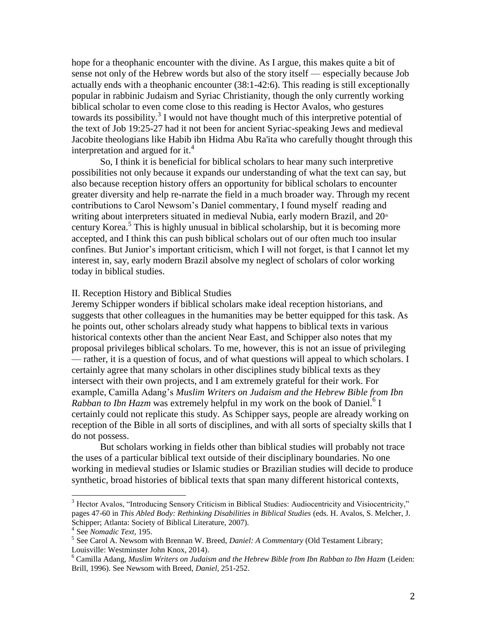hope for a theophanic encounter with the divine. As I argue, this makes quite a bit of sense not only of the Hebrew words but also of the story itself — especially because Job actually ends with a theophanic encounter (38:1-42:6). This reading is still exceptionally popular in rabbinic Judaism and Syriac Christianity, though the only currently working biblical scholar to even come close to this reading is Hector Avalos, who gestures towards its possibility.<sup>3</sup> I would not have thought much of this interpretive potential of the text of Job 19:25-27 had it not been for ancient Syriac-speaking Jews and medieval Jacobite theologians like Habib ibn Hidma Abu Ra'ita who carefully thought through this interpretation and argued for it.<sup>4</sup>

So, I think it is beneficial for biblical scholars to hear many such interpretive possibilities not only because it expands our understanding of what the text can say, but also because reception history offers an opportunity for biblical scholars to encounter greater diversity and help re-narrate the field in a much broader way. Through my recent contributions to Carol Newsom's Daniel commentary, I found myself reading and writing about interpreters situated in medieval Nubia, early modern Brazil, and  $20<sup>th</sup>$ century Korea.<sup>5</sup> This is highly unusual in biblical scholarship, but it is becoming more accepted, and I think this can push biblical scholars out of our often much too insular confines. But Junior's important criticism, which I will not forget, is that I cannot let my interest in, say, early modern Brazil absolve my neglect of scholars of color working today in biblical studies.

## II. Reception History and Biblical Studies

Jeremy Schipper wonders if biblical scholars make ideal reception historians, and suggests that other colleagues in the humanities may be better equipped for this task. As he points out, other scholars already study what happens to biblical texts in various historical contexts other than the ancient Near East, and Schipper also notes that my proposal privileges biblical scholars. To me, however, this is not an issue of privileging — rather, it is a question of focus, and of what questions will appeal to which scholars. I certainly agree that many scholars in other disciplines study biblical texts as they intersect with their own projects, and I am extremely grateful for their work. For example, Camilla Adang's *Muslim Writers on Judaism and the Hebrew Bible from Ibn*  Rabban to Ibn Hazm was extremely helpful in my work on the book of Daniel.<sup>6</sup> I certainly could not replicate this study. As Schipper says, people are already working on reception of the Bible in all sorts of disciplines, and with all sorts of specialty skills that I do not possess.

But scholars working in fields other than biblical studies will probably not trace the uses of a particular biblical text outside of their disciplinary boundaries. No one working in medieval studies or Islamic studies or Brazilian studies will decide to produce synthetic, broad histories of biblical texts that span many different historical contexts,

l

<sup>&</sup>lt;sup>3</sup> Hector Avalos, "Introducing Sensory Criticism in Biblical Studies: Audiocentricity and Visiocentricity," pages 47-60 in *This Abled Body: Rethinking Disabilities in Biblical Studies* (eds. H. Avalos, S. Melcher, J. Schipper; Atlanta: Society of Biblical Literature, 2007).

<sup>4</sup> See *Nomadic Text,* 195.

<sup>5</sup> See Carol A. Newsom with Brennan W. Breed, *Daniel: A Commentary* (Old Testament Library; Louisville: Westminster John Knox, 2014).

<sup>6</sup> Camilla Adang, *Muslim Writers on Judaism and the Hebrew Bible from Ibn Rabban to Ibn Hazm* (Leiden: Brill, 1996). See Newsom with Breed, *Daniel,* 251-252.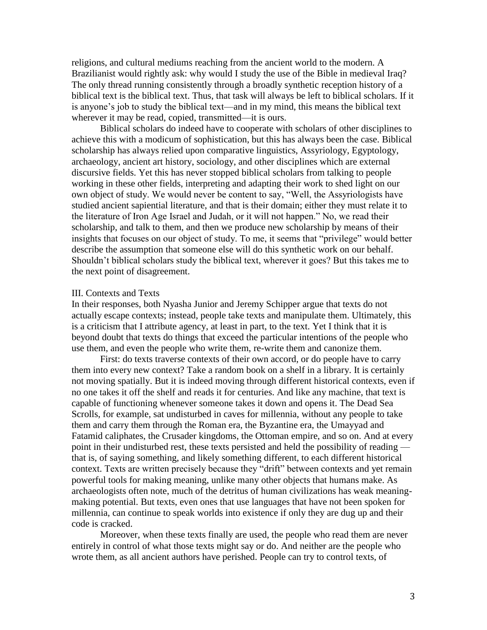religions, and cultural mediums reaching from the ancient world to the modern. A Brazilianist would rightly ask: why would I study the use of the Bible in medieval Iraq? The only thread running consistently through a broadly synthetic reception history of a biblical text is the biblical text. Thus, that task will always be left to biblical scholars. If it is anyone's job to study the biblical text—and in my mind, this means the biblical text wherever it may be read, copied, transmitted—it is ours.

Biblical scholars do indeed have to cooperate with scholars of other disciplines to achieve this with a modicum of sophistication, but this has always been the case. Biblical scholarship has always relied upon comparative linguistics, Assyriology, Egyptology, archaeology, ancient art history, sociology, and other disciplines which are external discursive fields. Yet this has never stopped biblical scholars from talking to people working in these other fields, interpreting and adapting their work to shed light on our own object of study. We would never be content to say, "Well, the Assyriologists have studied ancient sapiential literature, and that is their domain; either they must relate it to the literature of Iron Age Israel and Judah, or it will not happen." No, we read their scholarship, and talk to them, and then we produce new scholarship by means of their insights that focuses on our object of study. To me, it seems that "privilege" would better describe the assumption that someone else will do this synthetic work on our behalf. Shouldn't biblical scholars study the biblical text, wherever it goes? But this takes me to the next point of disagreement.

## III. Contexts and Texts

In their responses, both Nyasha Junior and Jeremy Schipper argue that texts do not actually escape contexts; instead, people take texts and manipulate them. Ultimately, this is a criticism that I attribute agency, at least in part, to the text. Yet I think that it is beyond doubt that texts do things that exceed the particular intentions of the people who use them, and even the people who write them, re-write them and canonize them.

First: do texts traverse contexts of their own accord, or do people have to carry them into every new context? Take a random book on a shelf in a library. It is certainly not moving spatially. But it is indeed moving through different historical contexts, even if no one takes it off the shelf and reads it for centuries. And like any machine, that text is capable of functioning whenever someone takes it down and opens it. The Dead Sea Scrolls, for example, sat undisturbed in caves for millennia, without any people to take them and carry them through the Roman era, the Byzantine era, the Umayyad and Fatamid caliphates, the Crusader kingdoms, the Ottoman empire, and so on. And at every point in their undisturbed rest, these texts persisted and held the possibility of reading that is, of saying something, and likely something different, to each different historical context. Texts are written precisely because they "drift" between contexts and yet remain powerful tools for making meaning, unlike many other objects that humans make. As archaeologists often note, much of the detritus of human civilizations has weak meaningmaking potential. But texts, even ones that use languages that have not been spoken for millennia, can continue to speak worlds into existence if only they are dug up and their code is cracked.

Moreover, when these texts finally are used, the people who read them are never entirely in control of what those texts might say or do. And neither are the people who wrote them, as all ancient authors have perished. People can try to control texts, of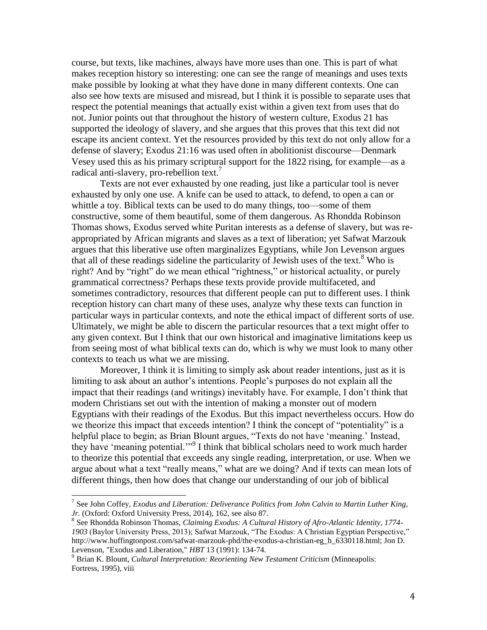course, but texts, like machines, always have more uses than one. This is part of what makes reception history so interesting: one can see the range of meanings and uses texts make possible by looking at what they have done in many different contexts. One can also see how texts are misused and misread, but I think it is possible to separate uses that respect the potential meanings that actually exist within a given text from uses that do not. Junior points out that throughout the history of western culture, Exodus 21 has supported the ideology of slavery, and she argues that this proves that this text did not escape its ancient context. Yet the resources provided by this text do not only allow for a defense of slavery; Exodus 21:16 was used often in abolitionist discourse—Denmark Vesey used this as his primary scriptural support for the 1822 rising, for example—as a radical anti-slavery, pro-rebellion text.<sup>7</sup>

Texts are not ever exhausted by one reading, just like a particular tool is never exhausted by only one use. A knife can be used to attack, to defend, to open a can or whittle a toy. Biblical texts can be used to do many things, too—some of them constructive, some of them beautiful, some of them dangerous. As Rhondda Robinson Thomas shows, Exodus served white Puritan interests as a defense of slavery, but was reappropriated by African migrants and slaves as a text of liberation; yet Safwat Marzouk argues that this liberative use often marginalizes Egyptians, while Jon Levenson argues that all of these readings sideline the particularity of Jewish uses of the text. <sup>8</sup> Who is right? And by "right" do we mean ethical "rightness," or historical actuality, or purely grammatical correctness? Perhaps these texts provide provide multifaceted, and sometimes contradictory, resources that different people can put to different uses. I think reception history can chart many of these uses, analyze why these texts can function in particular ways in particular contexts, and note the ethical impact of different sorts of use. Ultimately, we might be able to discern the particular resources that a text might offer to any given context. But I think that our own historical and imaginative limitations keep us from seeing most of what biblical texts can do, which is why we must look to many other contexts to teach us what we are missing.

Moreover, I think it is limiting to simply ask about reader intentions, just as it is limiting to ask about an author's intentions. People's purposes do not explain all the impact that their readings (and writings) inevitably have. For example, I don't think that modern Christians set out with the intention of making a monster out of modern Egyptians with their readings of the Exodus. But this impact nevertheless occurs. How do we theorize this impact that exceeds intention? I think the concept of "potentiality" is a helpful place to begin; as Brian Blount argues, "Texts do not have 'meaning.' Instead, they have 'meaning potential."<sup>9</sup> I think that biblical scholars need to work much harder to theorize this potential that exceeds any single reading, interpretation, or use. When we argue about what a text "really means," what are we doing? And if texts can mean lots of different things, then how does that change our understanding of our job of biblical

 7 See John Coffey, *Exodus and Liberation: Deliverance Politics from John Calvin to Martin Luther King, Jr.* (Oxford: Oxford University Press, 2014), 162, see also 87.

<sup>8</sup> See Rhondda Robinson Thomas, *Claiming Exodus: A Cultural History of Afro-Atlantic Identity, 1774- 1903* (Baylor University Press, 2013); Safwat Marzouk, "The Exodus: A Christian Egyptian Perspective," http://www.huffingtonpost.com/safwat-marzouk-phd/the-exodus-a-christian-eg\_b\_6330118.html; Jon D. Levenson, "Exodus and Liberation," *HBT* 13 (1991): 134-74.

<sup>9</sup> Brian K. Blount, *Cultural Interpretation: Reorienting New Testament Criticism* (Minneapolis: Fortress, 1995), viii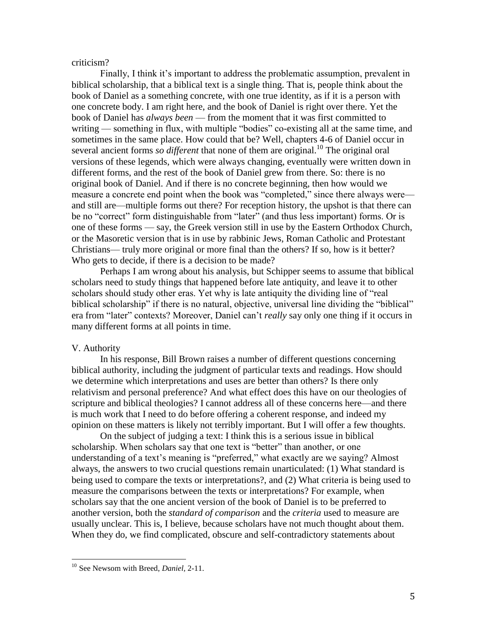criticism?

Finally, I think it's important to address the problematic assumption, prevalent in biblical scholarship, that a biblical text is a single thing. That is, people think about the book of Daniel as a something concrete, with one true identity, as if it is a person with one concrete body. I am right here, and the book of Daniel is right over there. Yet the book of Daniel has *always been* — from the moment that it was first committed to writing — something in flux, with multiple "bodies" co-existing all at the same time, and sometimes in the same place. How could that be? Well, chapters 4-6 of Daniel occur in several ancient forms *so different* that none of them are original.<sup>10</sup> The original oral versions of these legends, which were always changing, eventually were written down in different forms, and the rest of the book of Daniel grew from there. So: there is no original book of Daniel. And if there is no concrete beginning, then how would we measure a concrete end point when the book was "completed," since there always were and still are—multiple forms out there? For reception history, the upshot is that there can be no "correct" form distinguishable from "later" (and thus less important) forms. Or is one of these forms — say, the Greek version still in use by the Eastern Orthodox Church, or the Masoretic version that is in use by rabbinic Jews, Roman Catholic and Protestant Christians— truly more original or more final than the others? If so, how is it better? Who gets to decide, if there is a decision to be made?

Perhaps I am wrong about his analysis, but Schipper seems to assume that biblical scholars need to study things that happened before late antiquity, and leave it to other scholars should study other eras. Yet why is late antiquity the dividing line of "real biblical scholarship" if there is no natural, objective, universal line dividing the "biblical" era from "later" contexts? Moreover, Daniel can't *really* say only one thing if it occurs in many different forms at all points in time.

## V. Authority

 $\overline{a}$ 

In his response, Bill Brown raises a number of different questions concerning biblical authority, including the judgment of particular texts and readings. How should we determine which interpretations and uses are better than others? Is there only relativism and personal preference? And what effect does this have on our theologies of scripture and biblical theologies? I cannot address all of these concerns here—and there is much work that I need to do before offering a coherent response, and indeed my opinion on these matters is likely not terribly important. But I will offer a few thoughts.

On the subject of judging a text: I think this is a serious issue in biblical scholarship. When scholars say that one text is "better" than another, or one understanding of a text's meaning is "preferred," what exactly are we saying? Almost always, the answers to two crucial questions remain unarticulated: (1) What standard is being used to compare the texts or interpretations?, and (2) What criteria is being used to measure the comparisons between the texts or interpretations? For example, when scholars say that the one ancient version of the book of Daniel is to be preferred to another version, both the *standard of comparison* and the *criteria* used to measure are usually unclear. This is, I believe, because scholars have not much thought about them. When they do, we find complicated, obscure and self-contradictory statements about

<sup>10</sup> See Newsom with Breed, *Daniel,* 2-11.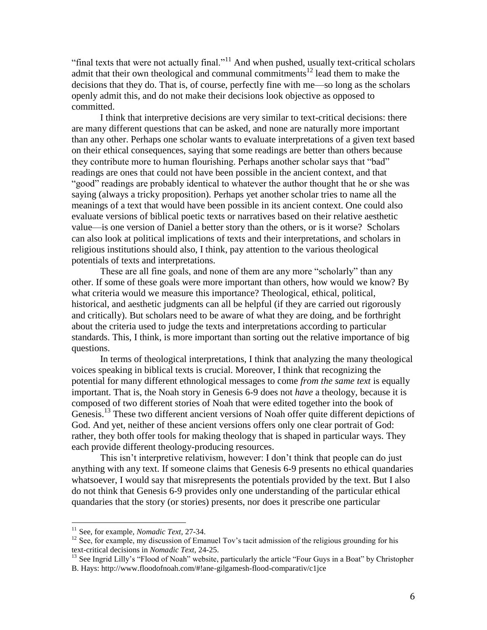"final texts that were not actually final."<sup>11</sup> And when pushed, usually text-critical scholars admit that their own theological and communal commitments<sup>12</sup> lead them to make the decisions that they do. That is, of course, perfectly fine with me—so long as the scholars openly admit this, and do not make their decisions look objective as opposed to committed.

I think that interpretive decisions are very similar to text-critical decisions: there are many different questions that can be asked, and none are naturally more important than any other. Perhaps one scholar wants to evaluate interpretations of a given text based on their ethical consequences, saying that some readings are better than others because they contribute more to human flourishing. Perhaps another scholar says that "bad" readings are ones that could not have been possible in the ancient context, and that "good" readings are probably identical to whatever the author thought that he or she was saying (always a tricky proposition). Perhaps yet another scholar tries to name all the meanings of a text that would have been possible in its ancient context. One could also evaluate versions of biblical poetic texts or narratives based on their relative aesthetic value—is one version of Daniel a better story than the others, or is it worse? Scholars can also look at political implications of texts and their interpretations, and scholars in religious institutions should also, I think, pay attention to the various theological potentials of texts and interpretations.

These are all fine goals, and none of them are any more "scholarly" than any other. If some of these goals were more important than others, how would we know? By what criteria would we measure this importance? Theological, ethical, political, historical, and aesthetic judgments can all be helpful (if they are carried out rigorously and critically). But scholars need to be aware of what they are doing, and be forthright about the criteria used to judge the texts and interpretations according to particular standards. This, I think, is more important than sorting out the relative importance of big questions.

In terms of theological interpretations, I think that analyzing the many theological voices speaking in biblical texts is crucial. Moreover, I think that recognizing the potential for many different ethnological messages to come *from the same text* is equally important. That is, the Noah story in Genesis 6-9 does not *have* a theology, because it is composed of two different stories of Noah that were edited together into the book of Genesis.<sup>13</sup> These two different ancient versions of Noah offer quite different depictions of God. And yet, neither of these ancient versions offers only one clear portrait of God: rather, they both offer tools for making theology that is shaped in particular ways. They each provide different theology-producing resources.

This isn't interpretive relativism, however: I don't think that people can do just anything with any text. If someone claims that Genesis 6-9 presents no ethical quandaries whatsoever, I would say that misrepresents the potentials provided by the text. But I also do not think that Genesis 6-9 provides only one understanding of the particular ethical quandaries that the story (or stories) presents, nor does it prescribe one particular

 $\overline{a}$ 

<sup>11</sup> See, for example, *Nomadic Text,* 27-34.

<sup>&</sup>lt;sup>12</sup> See, for example, my discussion of Emanuel Tov's tacit admission of the religious grounding for his text-critical decisions in *Nomadic Text,* 24-25.

<sup>&</sup>lt;sup>13</sup> See Ingrid Lilly's "Flood of Noah" website, particularly the article "Four Guys in a Boat" by Christopher B. Hays: http://www.floodofnoah.com/#!ane-gilgamesh-flood-comparativ/c1jce